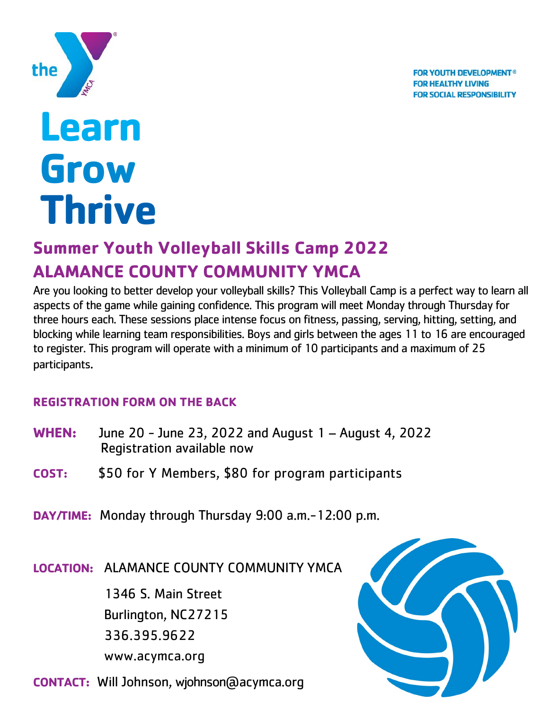**FOR YOUTH DEVELOPMENT<sup>®</sup> FOR HEALTHY LIVING FOR SOCIAL RESPONSIBILITY** 



# **Learn Grow Thrive**

## **Summer Youth Volleyball Skills Camp 2022 ALAMANCE COUNTY COMMUNITY YMCA**

Are you looking to better develop your volleyball skills? This Volleyball Camp is a perfect way to learn all aspects of the game while gaining confidence. This program will meet Monday through Thursday for three hours each. These sessions place intense focus on fitness, passing, serving, hitting, setting, and blocking while learning team responsibilities. Boys and girls between the ages 11 to 16 are encouraged to register. This program will operate with a minimum of 10 participants and a maximum of 25 participants.

#### **REGISTRATION FORM ON THE BACK**

| <b>WHEN:</b> | June 20 - June 23, 2022 and August 1 - August 4, 2022<br>Registration available now |  |
|--------------|-------------------------------------------------------------------------------------|--|
| COST:        | \$50 for Y Members, \$80 for program participants                                   |  |
|              | <b>DAY/TIME:</b> Monday through Thursday 9:00 a.m. - 12:00 p.m.                     |  |
|              | LOCATION: ALAMANCE COUNTY COMMUNITY YMCA                                            |  |
|              | 1346 S. Main Street                                                                 |  |
|              | Burlington, NC27215                                                                 |  |

 [www.acymca.org](http://www.acymca.org/)

336.395.9622

**CONTACT:** Will Johnson, wjohnso[n@acymca.org](mailto:dwilliams@acymca.org)